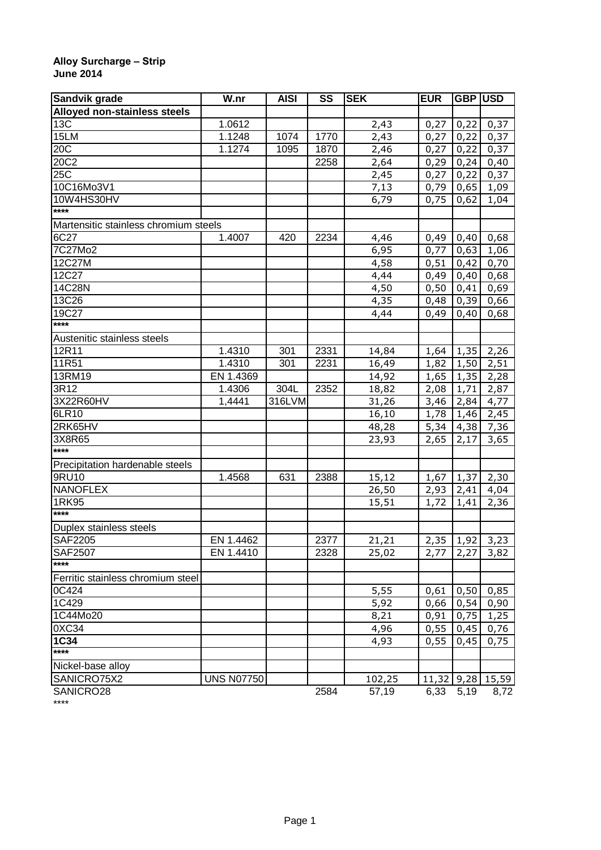## **Alloy Surcharge – Strip June 2014**

| Sandvik grade                         | W.nr              | <b>AISI</b>    | SS   | <b>SEK</b> | <b>EUR</b>   | GBP USD |       |
|---------------------------------------|-------------------|----------------|------|------------|--------------|---------|-------|
| Alloyed non-stainless steels          |                   |                |      |            |              |         |       |
| 13 <sub>C</sub>                       | 1.0612            |                |      | 2,43       | 0,27         | 0,22    | 0,37  |
| 15LM                                  | 1.1248            | 1074           | 1770 | 2,43       | 0,27         | 0,22    | 0,37  |
| 20C                                   | 1.1274            | 1095           | 1870 | 2,46       | 0,27         | 0,22    | 0,37  |
| 20C2                                  |                   |                | 2258 | 2,64       | 0,29         | 0,24    | 0,40  |
| 25 <sup>2</sup>                       |                   |                |      | 2,45       | 0,27         | 0,22    | 0,37  |
| 10C16Mo3V1                            |                   |                |      | 7,13       | 0,79         | 0,65    | 1,09  |
| 10W4HS30HV                            |                   |                |      | 6,79       | 0,75         | 0,62    | 1,04  |
| ****                                  |                   |                |      |            |              |         |       |
| Martensitic stainless chromium steels |                   |                |      |            |              |         |       |
| 6C27                                  | 1.4007            | 420            | 2234 | 4,46       | 0,49         | 0,40    | 0,68  |
| 7C27Mo2                               |                   |                |      | 6,95       | 0,77         | 0,63    | 1,06  |
| 12C27M                                |                   |                |      | 4,58       | 0,51         | 0,42    | 0,70  |
| 12C27                                 |                   |                |      | 4,44       | 0,49         | 0,40    | 0,68  |
| 14C28N                                |                   |                |      | 4,50       | 0,50         | 0,41    | 0,69  |
| 13C26                                 |                   |                |      | 4,35       | 0,48         | 0,39    | 0,66  |
| 19C27                                 |                   |                |      | 4,44       | 0,49         | 0,40    | 0,68  |
| ****                                  |                   |                |      |            |              |         |       |
| Austenitic stainless steels           |                   |                |      |            |              |         |       |
| 12R11                                 | 1.4310            | 301            | 2331 | 14,84      | 1,64         | 1,35    | 2,26  |
| 11R51                                 | 1.4310            | 301            | 2231 | 16,49      | 1,82         | 1,50    | 2,51  |
| 13RM19                                | EN 1.4369         |                |      | 14,92      |              |         |       |
| 3R12                                  |                   |                | 2352 |            | 1,65         | 1,35    | 2,28  |
| 3X22R60HV                             | 1.4306            | 304L<br>316LVM |      | 18,82      | 2,08         | 1,71    | 2,87  |
|                                       | 1,4441            |                |      | 31,26      | 3,46         | 2,84    | 4,77  |
| 6LR10                                 |                   |                |      | 16,10      | 1,78         | 1,46    | 2,45  |
| 2RK65HV                               |                   |                |      | 48,28      | 5,34         | 4,38    | 7,36  |
| 3X8R65<br>****                        |                   |                |      | 23,93      | 2,65         | 2,17    | 3,65  |
|                                       |                   |                |      |            |              |         |       |
| Precipitation hardenable steels       |                   |                |      |            |              |         |       |
| 9RU10                                 | 1.4568            | 631            | 2388 | 15,12      | 1,67         | 1,37    | 2,30  |
| <b>NANOFLEX</b>                       |                   |                |      | 26,50      | 2,93         | 2,41    | 4,04  |
| 1RK95                                 |                   |                |      | 15,51      | 1,72         | 1,41    | 2,36  |
| $***$                                 |                   |                |      |            |              |         |       |
| Duplex stainless steels               |                   |                |      |            |              |         |       |
| <b>SAF2205</b>                        | EN 1.4462         |                | 2377 | 21,21      | 2,35         | 1,92    | 3,23  |
| <b>SAF2507</b>                        | EN 1.4410         |                | 2328 | 25,02      | 2,77         | 2,27    | 3,82  |
| ****                                  |                   |                |      |            |              |         |       |
| Ferritic stainless chromium steel     |                   |                |      |            |              |         |       |
| 0C424                                 |                   |                |      | 5,55       | 0,61         | 0,50    | 0,85  |
| 1C429                                 |                   |                |      | 5,92       | 0,66         | 0,54    | 0,90  |
| 1C44Mo20                              |                   |                |      | 8,21       | 0,91         | 0,75    | 1,25  |
| 0XC34                                 |                   |                |      | 4,96       | 0,55         | 0,45    | 0,76  |
| $1C\overline{34}$                     |                   |                |      | 4,93       | 0,55         | 0,45    | 0,75  |
| ****                                  |                   |                |      |            |              |         |       |
| Nickel-base alloy                     |                   |                |      |            |              |         |       |
| SANICRO75X2                           | <b>UNS N07750</b> |                |      | 102, 25    | $11,32$ 9,28 |         | 15,59 |
| SANICRO28                             |                   |                | 2584 | 57,19      | 6,33         | 5,19    | 8,72  |

SANICRO28